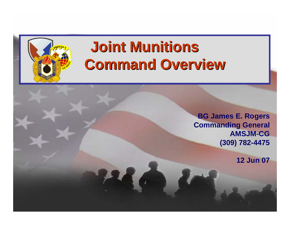# **Joint Munitions Joint Munitions Command Overview Command Overview**

**BG James E. Rogers Commanding General AMSJM-CG(309) 782-4475**

**12 Jun 07**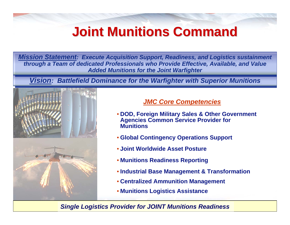## **Joint Munitions Command Joint Munitions Command**

*Mission Statement: Execute Acquisition Support, Readiness, and Logistics sustainment Mission Statement: Execute Acquisition Support, Readiness, and Logistics sustainment through a Team of dedicated Professionals who Provide Effective, Available, and Value through a Team of dedicated Professionals who Provide Effective, Available, and Value Added Munitions for the Joint Warfighter Added Munitions for the Joint Warfighter* 

**Vision: Battlefield Dominance for the Warfighter with Superior Munitions** 



#### *JMC Core Competencies*

- **DOD, Foreign Military Sales & Other Government Agencies Common Service Provider for Munitions**
- **Global Contingency Operations Support**
- **Joint Worldwide Asset Posture**
- **Munitions Readiness Reporting**
- **Industrial Base Management & Transformation**
- **Centralized Ammunition Management**
- **Munitions Logistics Assistance**

#### *Single Logistics Provider for JOINT Munitions Readiness*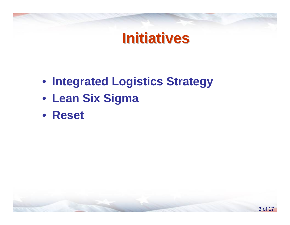## **Initiatives Initiatives**

- **Integrated Logistics Strategy**
- **Lean Six Sigma**
- **Reset**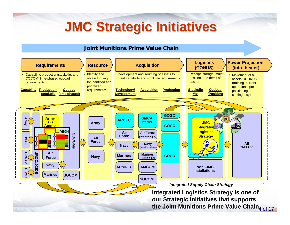## **JMC Strategic Initiatives JMC Strategic Initiatives**

#### **Joint Munitions Prime Value Chain**

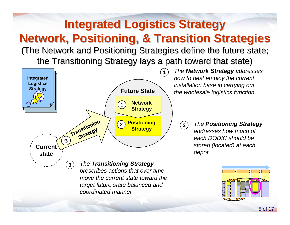## **Integrated Logistics Strategy Network, Positioning, & Transition Strategies Network, Positioning, & Transition Strategies** (The Network and Positioning Strategies define the future state;

the Transitioning Strategy lays a path toward that state)



 *The Network Strategy addresses how to best employ the current installation base in carrying out the wholesale logistics function*

> *The Positioning Strategy addresses how much of each DODIC should be stored (located) at each depot*

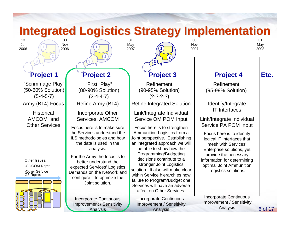

**Analysis** 

Analysis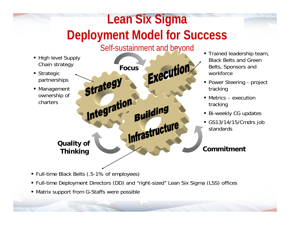### **JMENT IVIOQEI TOT SUC**<br>Self sustainment and bryand **Lean Six Si gma Deployment Model for Success**

### Self-sustainment and beyond

- High level Supply Chain strategy
- Strategic partnerships
- Management ownership of charters

Execution **Focus**Strategy Integration Building Infrastructure **Quality of Thinking Commitment**

- **Trained leadership team,** Black Belts and Green Belts, Sponsors and workforce
- **Power Steering project** tracking
- Metrics execution tracking
- Bi-weekly CG updates
- GS13/14/15/Cmdrs job standards

- Full-time Black Belts (.5-1% of employees)
- Full-time Deployment Directors (DD) and "right-sized" Lean Six Sigma (LSS) offices
- Matrix support from G-Staffs were possible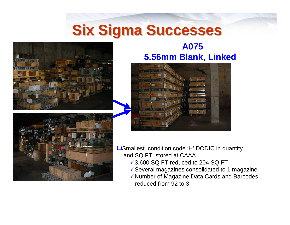# **Six Sigma Successes Six Sigma Successes**



### **A075 5.56mm Blank, Linked**





■Smallest condition code 'H' DODIC in quantity and SQ FT stored at CAAA

- $\sqrt{3,600}$  SQ FT reduced to 204 SQ FT
- $\checkmark$  Several magazines consolidated to 1 magazine
- ◆Number of Magazine Data Cards and Barcodes reduced from 92 to 3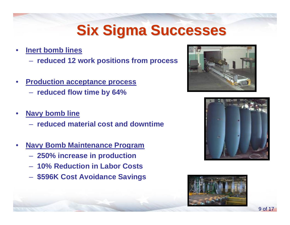# **Six Sigma Successes Six Sigma Successes**

- • **Inert bomb lines**
	- **reduced 12 work positions from process**
- • **Production acceptance process reduced flow time by 64%**
- • **Navy bomb line** 
	- **reduced material cost and downtime**
- • **Navy Bomb Maintenance Program**
	- **250% increase in production**
	- **10% Reduction in Labor Costs**
	- **\$596K Cost Avoidance Savings**





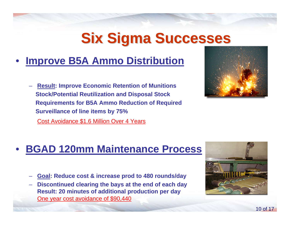# **Six Sigma Successes Six Sigma Successes**

#### •**Improve B5A Ammo Distribution**

 **Result: Improve Economic Retention of Munitions Stock/Potential Reutilization and Disposal Stock Requirements for B5A Ammo Reduction of Required Surveillance of line items by 75%**

Cost Avoidance \$1.6 Million Over 4 Years



#### •**BGAD 120mm Maintenance Process**

- **Goal: Reduce cost & increase prod to 480 rounds/day**
- **Discontinued clearing the bays at the end of each day Result: 20 minutes of additional production per day**  One year cost avoidance of \$90,440

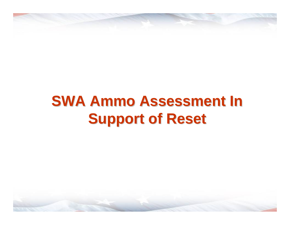# **SWA Ammo Assessment In Support of Reset Support of Reset**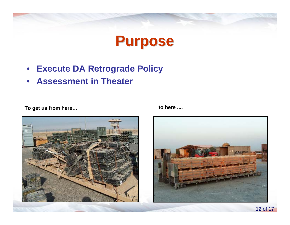## **Purpose Purpose**

- $\bullet$ **Execute DA Retrograde Policy**
- •**Assessment in Theater**

**To get us from here… to here ....**



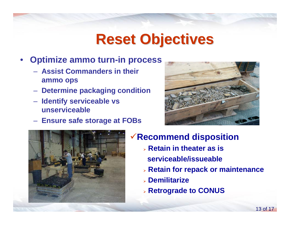# **Reset Objectives Reset Objectives**

- • **Optimize ammo turn-in process**
	- **Assist Commanders in their ammo ops**
	- **Determine packaging condition**
	- **Identify serviceable vs unserviceable**
	- **Ensure safe storage at FOBs**





### <sup>9</sup>**Recommend disposition**

- ¾ **Retain in theater as is serviceable/issueable**
- ¾ **Retain for repack or maintenance**
- ¾ **Demilitarize**
- ¾ **Retrograde to CONUS**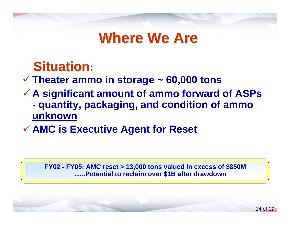# **Where We Are**

## **Situation:**

### 9 **Theater ammo in storage ~ 60,000 tons**

- 9 **A significant amount of ammo forward of ASPs quantity, packaging, and condition of ammo unknown**
- 9 **AMC is Executive Agent for Reset**

**FY02 - FY05: AMC reset > 13,000 tons valued in excess of \$850M ......Potential to reclaim over \$1B after drawdown**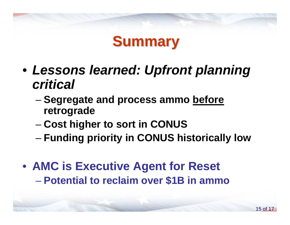

- *Lessons learned: Upfront planning critical*
	- – **Segregate and process ammo before retrograde**
	- –**Cost higher to sort in CONUS**
	- –**Funding priority in CONUS historically low**
- **AMC is Executive Agent for Reset Potential to reclaim over \$1B in ammo**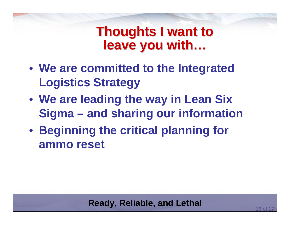## **Thoughts I want to leave you with… leave you with…**

- **We are committed to the Integrated Logistics Strategy**
- **We are leading the way in Lean Six Sigma – and sharing our information**
- **Beginning the critical planning for ammo reset**

### **Ready, Reliable, and Lethal**